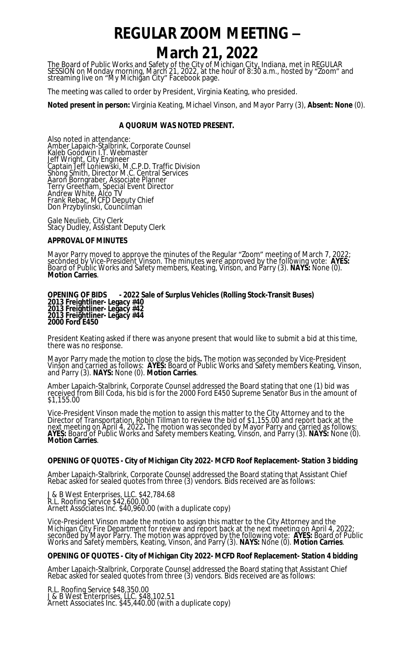# **REGULAR ZOOM MEETING – March 21, 2022**

The Board of Public Works and Safety of the City of Michigan City, Indiana, met in REGULAR SESSION on Monday morning, March 21, 2022, at the hour of 8:30 a.m., hosted by "Zoom" and streaming live on "My Michigan City" Facebook page.

The meeting was called to order by President, Virginia Keating, who presided.

**Noted present in person:** Virginia Keating, Michael Vinson, and Mayor Parry (3), **Absent: None** (0).

# **A QUORUM WAS NOTED PRESENT.**

Also noted in attendance: Amber Lapaich-Stalbrink, Corporate Counsel Kaleb Goodwin I.T. Webmaster Jeff Wright, City Engineer Captain Jeff Loniewski, M.C.P.D. Traffic Division Shong Smith, Director M.C. Central Services Aaron Borngraber, Associate Planner Terry Greetham, Special Event Director Andrew White, Alco TV Frank Rebac, MCFD Deputy Chief Don Przybylinski, Councilman

Gale Neulieb, City Clerk Stacy Dudley, Assistant Deputy Clerk

## **APPROVAL OF MINUTES**

Mayor Parry moved to approve the minutes of the Regular "Zoom" meeting of March 7, 2022; seconded by Vice-President Vinson. The minutes were approved by the following vote: **AYES:**  Board of Public Works and Safety members, Keating, Vinson, and Parry (3). **NAYS:** None (0). **Motion Carries**.

#### **OPENING OF BIDS - 2022 Sale of Surplus Vehicles (Rolling Stock-Transit Buses) 2013 Freightliner- Legacy #40 2013 Freightliner- Legacy #42 2013 Freightliner- Legacy #44 2000 Ford E450**

President Keating asked if there was anyone present that would like to submit a bid at this time, there was no response.

Mayor Parry made the motion to close the bids**.** The motion was seconded by Vice-President Vinson and carried as follows: **AYES:** Board of Public Works and Safety members Keating, Vinson, and Parry (3). **NAYS:** None (0). **Motion Carries**.

Amber Lapaich-Stalbrink, Corporate Counsel addressed the Board stating that one (1) bid was received from Bill Coda, his bid is for the 2000 Ford E450 Supreme Senator Bus in the amount of \$1,155.00

Vice-President Vinson made the motion to assign this matter to the City Attorney and to the Director of Transportation, Robin Tillman to review the bid of \$1,155.00 and report back at the next meeting on April 4, 2022**.** The motion was seconded by Mayor Parry and carried as follows: **AYES:** Board of Public Works and Safety members Keating, Vinson, and Parry (3). **NAYS:** None (0). **Motion Carries**.

## **OPENING OF QUOTES - City of Michigan City 2022- MCFD Roof Replacement- Station 3 bidding**

Amber Lapaich-Stalbrink, Corporate Counsel addressed the Board stating that Assistant Chief Rebac asked for sealed quotes from three (3) vendors. Bids received are as follows:

J & B West Enterprises, LLC. \$42,784.68 R.L. Roofing Service \$42,600.00 Arnett Associates Inc. \$40,960.00 (with a duplicate copy)

Vice-President Vinson made the motion to assign this matter to the City Attorney and the Michigan City Fire Department for review and report back at the next meeting on April 4, 2022; seconded by Mayor Parry. The motion was approved by the following vote: **AYES:** Board of Public Works and Safety members, Keating, Vinson, and Parry (3). **NAYS:** None (0). **Motion Carries**.

## **OPENING OF QUOTES - City of Michigan City 2022- MCFD Roof Replacement- Station 4 bidding**

Amber Lapaich-Stalbrink, Corporate Counsel addressed the Board stating that Assistant Chief Rebac asked for sealed quotes from three (3) vendors. Bids received are as follows:

R.L. Roofing Service \$48,350.00 J & B West Enterprises, LLC. \$48,102.51 Arnett Associates Inc. \$45,440.00 (with a duplicate copy)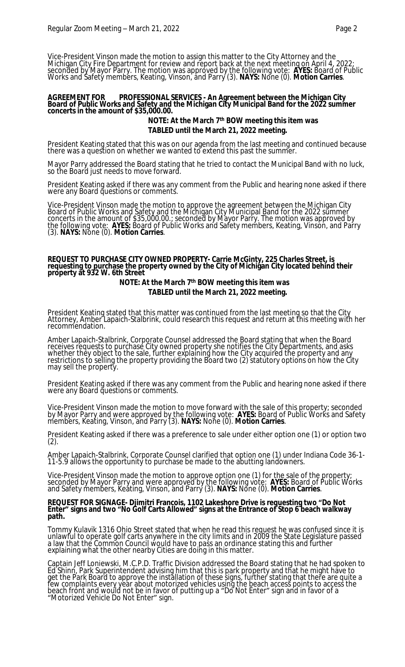Vice-President Vinson made the motion to assign this matter to the City Attorney and the Michigan City Fire Department for review and report back at the next meeting on April 4, 2022; seconded by Mayor Parry. The motion was approved by the following vote: **AYES:** Board of Public Works and Safety members, Keating, Vinson, and Parry (3). **NAYS:** None (0). **Motion Carries**.

#### **AGREEMENT FOR PROFESSIONAL SERVICES - An Agreement between the Michigan City Board of Public Works and Safety and the Michigan City Municipal Band for the 2022 summer concerts in the amount of \$35,000.00.**

# **NOTE: At the March 7th BOW meeting this item was TABLED until the March 21, 2022 meeting.**

President Keating stated that this was on our agenda from the last meeting and continued because there was a question on whether we wanted to extend this past the summer.

Mayor Parry addressed the Board stating that he tried to contact the Municipal Band with no luck, so the Board just needs to move forward.

President Keating asked if there was any comment from the Public and hearing none asked if there were any Board questions or comments.

Vice-President Vinson made the motion to approve the agreement between the Michigan City Board of Public Works and Safety and the Michigan City Municipal Band for the 2022 summer concerts in the amount of \$35,000.00.; seconded by Mayor Parry. The motion was approved by the following vote: **AYES:** Board of Public Works and Safety members, Keating, Vinson, and Parry (3). **NAYS:** None (0). **Motion Carries**.

#### **REQUEST TO PURCHASE CITY OWNED PROPERTY- Carrie McGinty, 225 Charles Street, is requesting to purchase the property owned by the City of Michigan City located behind their property at 932 W. 6th Street**

# **NOTE: At the March 7th BOW meeting this item was TABLED until the March 21, 2022 meeting.**

President Keating stated that this matter was continued from the last meeting so that the City Attorney, Amber Lapaich-Stalbrink, could research this request and return at this meeting with her recommendation.

Amber Lapaich-Stalbrink, Corporate Counsel addressed the Board stating that when the Board receives requests to purchase City owned property she notifies the City Departments, and asks whether they object to the sale, further explaining how the City acquired the property and any restrictions to selling the property providing the Board two (2) statutory options on how the City may sell the property.

President Keating asked if there was any comment from the Public and hearing none asked if there were any Board questions or comments.

Vice-President Vinson made the motion to move forward with the sale of this property; seconded by Mayor Parry and were approved by the following vote: **AYES:** Board of Public Works and Safety members, Keating, Vinson, and Parry (3). **NAYS:** None (0). **Motion Carries**.

President Keating asked if there was a preference to sale under either option one (1) or option two (2).

Amber Lapaich-Stalbrink, Corporate Counsel clarified that option one (1) under Indiana Code 36-1- 11-5.9 allows the opportunity to purchase be made to the abutting landowners.

Vice-President Vinson made the motion to approve option one (1) for the sale of the property; seconded by Mayor Parry and were approved by the following vote: **AYES:** Board of Public Works and Safety members, Keating, Vinson, and Parry (3). **NAYS:** None (0). **Motion Carries**.

## **REQUEST FOR SIGNAGE- Djimitri Francois, 1102 Lakeshore Drive is requesting two "Do Not Enter" signs and two "No Golf Carts Allowed" signs at the Entrance of Stop 6 beach walkway path.**

Tommy Kulavik 1316 Ohio Street stated that when he read this request he was confused since it is unlawful to operate golf carts anywhere in the city limits and in 2009 the State Legislature passed a law that the Common Council would have to pass an ordinance stating this and further explaining what the other nearby Cities are doing in this matter.

Captain Jeff Loniewski, M.C.P.D. Traffic Division addressed the Board stating that he had spoken to Ed Shinn, Park Superintendent advising him that this is park property and that he might have to get the Park Board to approve the installation of these signs, further stating that there are quite a few complaints every year about motorized vehicles using the beach access points to access the beach front and would not be in favor of putting up a "Do Not Enter" sign and in favor of a "Motorized Vehicle Do Not Enter" sign.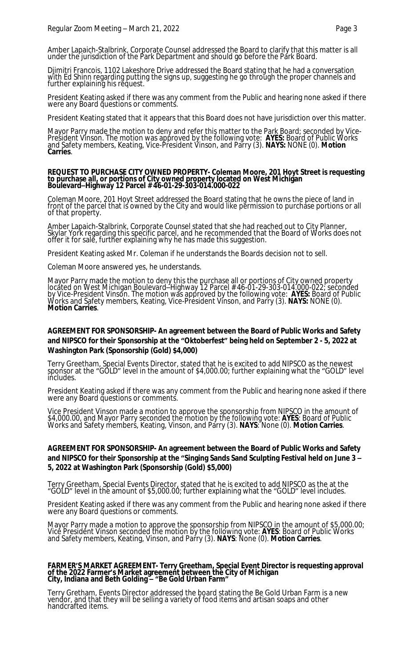Amber Lapaich-Stalbrink, Corporate Counsel addressed the Board to clarify that this matter is all under the jurisdiction of the Park Department and should go before the Park Board.

Djimitri Francois, 1102 Lakeshore Drive addressed the Board stating that he had a conversation with Ed Shinn regarding putting the signs up, suggesting he go through the proper channels and further explaining his request.

President Keating asked if there was any comment from the Public and hearing none asked if there were any Board questions or comments.

President Keating stated that it appears that this Board does not have jurisdiction over this matter.

Mayor Parry made the motion to deny and refer this matter to the Park Board; seconded by Vice-President Vinson. The motion was approved by the following vote: **AYES:** Board of Public Works and Safety members, Keating, Vice-President Vinson, and Parry (3). **NAYS:** NONE (0). **Motion Carries**.

## **REQUEST TO PURCHASE CITY OWNED PROPERTY- Coleman Moore, 201 Hoyt Street is requesting to purchase all, or portions of City owned property located on West Michigan Boulevard–Highway 12 Parcel # 46-01-29-303-014.000-022**

Coleman Moore, 201 Hoyt Street addressed the Board stating that he owns the piece of land in front of the parcel that is owned by the City and would like permission to purchase portions or all of that property.

Amber Lapaich-Stalbrink, Corporate Counsel stated that she had reached out to City Planner, Skylar York regarding this specific parcel, and he recommended that the Board of Works does not offer it for salĕ, further explaining why he has made this suggestion.

President Keating asked Mr. Coleman if he understands the Boards decision not to sell.

Coleman Moore answered yes, he understands.

Mayor Parry made the motion to deny this the purchase all or portions of City owned property located on West Michigan Boulevard–Highway 12 Parcel # 46-01-29-303-014.000-022; seconded by Vice-President Vinson. The motion was approved by the following vote: **AYES:** Board of Public Works and Safety members, Keating, Vice-President Vinson, and Parry (3). **NAYS:** NONE (0). **Motion Carries**.

# **AGREEMENT FOR SPONSORSHIP- An agreement between the Board of Public Works and Safety and NIPSCO for their Sponsorship at the "Oktoberfest" being held on September 2 - 5, 2022 at Washington Park (Sponsorship (Gold) \$4,000)**

Terry Greetham, Special Events Director, stated that he is excited to add NIPSCO as the newest sponsor at the "GOLD" level in the amount of \$4,000.00; further explaining what the "GOLD" level includes.

President Keating asked if there was any comment from the Public and hearing none asked if there were any Board questions or comments.

Vice President Vinson made a motion to approve the sponsorship from NIPSCO in the amount of \$4,000.00, and Mayor Parry seconded the motion by the following vote: **AYES**: Board of Public Works and Safety members, Keating, Vinson, and Parry (3). **NAYS**: None (0). **Motion Carries**.

# **AGREEMENT FOR SPONSORSHIP- An agreement between the Board of Public Works and Safety and NIPSCO for their Sponsorship at the "Singing Sands Sand Sculpting Festival held on June 3 – 5, 2022 at Washington Park (Sponsorship (Gold) \$5,000)**

Terry Greetham, Special Events Director, stated that he is excited to add NIPSCO as the at the "GOLD" level in the amount of \$5,000.00; further explaining what the "GOLD" level includes.

President Keating asked if there was any comment from the Public and hearing none asked if there were any Board questions or comments.

Mayor Parry made a motion to approve the sponsorship from NIPSCO in the amount of \$5,000.00; Vice President Vinson seconded the motion by the following vote: **AYES**: Board of Public Works and Safety members, Keating, Vinson, and Parry (3). **NAYS**: None (0). **Motion Carries**.

## **FARMER'S MARKET AGREEMENT- Terry Greetham, Special Event Director is requesting approval of the 2022 Farmer's Market agreement between the City of Michigan City, Indiana and Beth Golding – "Be Gold Urban Farm"**

Terry Gretham, Events Director addressed the board stating the Be Gold Urban Farm is a new vendor, and that they will be selling a variety of food items and artisan soaps and other handcrafted items.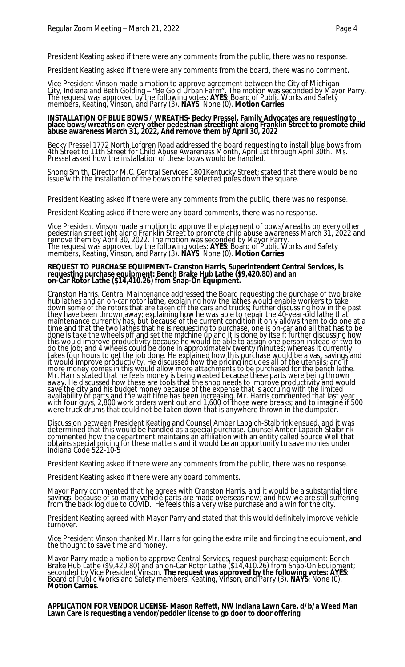President Keating asked if there were any comments from the public, there was no response.

President Keating asked if there were any comments from the board, there was no comment**.**

Vice President Vinson made a motion to approve agreement between the City of Michigan City, Indiana and Beth Golding – "Be Gold Urban Farm". The motion was seconded by Mayor Parry. The request was approved by the following votes: **AYES**: Board of Public Works and Safety members, Keating, Vinson, and Parry (3). **NAYS**: None (0). **Motion Carries**.

## **INSTALLATION OF BLUE BOWS / WREATHS- Becky Pressel, Family Advocates are requesting to place bows/wreaths on every other pedestrian streetlight along Franklin Street to promote child abuse awareness March 31, 2022, And remove them by April 30, 2022**

Becky Pressel 1772 North Lofgren Road addressed the board requesting to install blue bows from 4th Street to 11th Street for Child Abuse Awareness Month, April 1st through April 30th. Ms. Pressel asked how the installation of these bows would be handled.

Shong Smith, Director M.C. Central Services 1801Kentucky Street; stated that there would be no issue with the installation of the bows on the selected poles down the square.

President Keating asked if there were any comments from the public, there was no response.

President Keating asked if there were any board comments, there was no response.

Vice President Vinson made a motion to approve the placement of bows/wreaths on every other pedestrian streetlight along Franklin Street to promote child abuse awareness March 31, 2022 and <u>r</u>emove them by April 30, 2022. The motion was seconded by Mayor Parry. The request was approved by the following votes: **AYES**: Board of Public Works and Safety members, Keating, Vinson, and Parry (3). **NAYS**: None (0). **Motion Carries**.

#### **REQUEST TO PURCHASE EQUIPMENT- Cranston Harris, Superintendent Central Services, is requesting purchase equipment: Bench Brake Hub Lathe (\$9,420.80) and an on-Car Rotor Lathe (\$14,410.26) from Snap-On Equipment.**

Cranston Harris, Central Maintenance addressed the Board requesting the purchase of two brake hub lathes and an on-car rotor lathe, explaining how the lathes would enable workers to take down some of the rotors that are taken off the cars and trucks; further discussing how in the past they have been thrown away; explaining how he was able to repair the 40-year-old lathe that maintenance currently has, but because of the current condition it only allows them to do one at a time and that the two lathes that he is requesting to purchase, one is on-car and all that has to be done is take the wheels off and set the machine up and it is done by itself; further discussing how this would improve productivity because he would be able to assign one person instead of two to do the job; and 4 wheels could be done in approximately twenty minutes; whereas it currently takes four hours to get the job done. He explained how this purchase would be a vast savings and it would improve productivity. He discussed how the pricing includes all of the utensils; and if more money comes in this would allow more attachments to be purchased for the bench lathe. Mr. Harris stated that he feels money is being wasted because these parts were being thrown away. He discussed how these are tools that the shop needs to improve productivity and would save the city and his budget money because of the expense that is accruing with the limited availability of parts and the wait time has been increasing. Mr. Harris commented that last year with four guys, 2,800 work orders went out and 1,600 of those were breaks; and to imagine if 500 were truck drums that could not be taken down that is anywhere thrown in the dumpster.

Discussion between President Keating and Counsel Amber Lapaich-Stalbrink ensued, and it was determined that this would be handled as a special purchase. Counsel Amber Lapaich-Stalbrink commented how the department maintains an affiliation with an entity called Source Well that obtains special pricing for these matters and it would be an opportunity to save monies under Indiana Code 522-10-5

President Keating asked if there were any comments from the public, there was no response.

President Keating asked if there were any board comments.

Mayor Parry commented that he agrees with Cranston Harris, and it would be a substantial time savings, because of so many vehicle parts are made overseas now; and how we are still suffering from the back log due to COVID. He feels this a very wise purchase and a win for the city.

President Keating agreed with Mayor Parry and stated that this would definitely improve vehicle turnover.

Vice President Vinson thanked Mr. Harris for going the extra mile and finding the equipment, and the thought to save time and money.

Mayor Parry made a motion to approve Central Services, request purchase equipment: Bench Brake Hub Lathe (\$9,420.80) and an on-Car Rotor Lathe (\$14,410.26) from Snap-On Equipment; seconded by Vice President Vinson. **The request was approved by the following votes: AYES**: Board of Public Works and Safety members, Keating, Vinson, and Parry (3). **NAYS**: None (0). **Motion Carries**.

**APPLICATION FOR VENDOR LICENSE- Mason Reffett, NW Indiana Lawn Care, d/b/a Weed Man Lawn Care is requesting a vendor/peddler license to go door to door offering**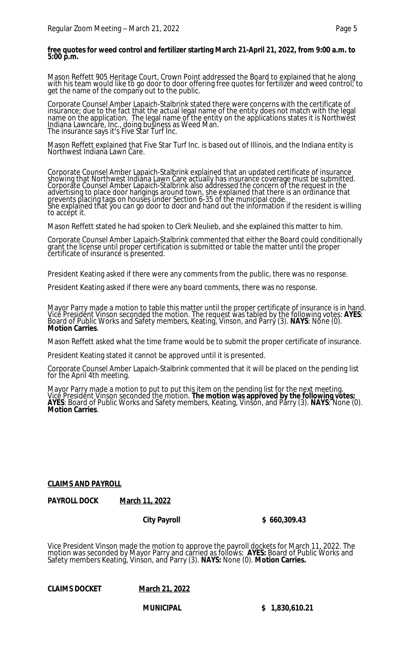# **free quotes for weed control and fertilizer starting March 21-April 21, 2022, from 9:00 a.m. to 5:00 p.m.**

Mason Reffett 905 Heritage Court, Crown Point addressed the Board to explained that he along with his team would like to go door to door offering free quotes for fertilizer and weed control; to get the name of the company out to the public.

Corporate Counsel Amber Lapaich-Stalbrink stated there were concerns with the certificate of insurance; due to the fact that the actual legal name of the entity does not match with the legal name on the application. The legal name of the entity on the applications states it is Northwest Indiana Lawncare, Inc., doing business as Weed Man. The insurance says it's Five Star Turf Inc.

Mason Reffett explained that Five Star Turf Inc. is based out of Illinois, and the Indiana entity is Northwest Indiana Lawn Care.

Corporate Counsel Amber Lapaich-Stalbrink explained that an updated certificate of insurance showing that Northwest Indiana Lawn Care actually has insurance coverage must be submitted. Corporate Counsel Amber Lapaich-Stalbrink also addressed the concern of the request in the advertising to place door hangings around town, she explained that there is an ordinance that prevents placing tags on houses under Section 6-35 of the municipal code. She explained that you can go door to door and hand out the information if the resident is willing to accept it.

Mason Reffett stated he had spoken to Clerk Neulieb, and she explained this matter to him.

Corporate Counsel Amber Lapaich-Stalbrink commented that either the Board could conditionally grant the license until proper certification is submitted or table the matter until the proper certificate of insurance is presented.

President Keating asked if there were any comments from the public, there was no response.

President Keating asked if there were any board comments, there was no response.

Mayor Parry made a motion to table this matter until the proper certificate of insurance is in hand. Vice President Vinson seconded the motion. The request was tabled by the following votes: **AYES**: Board of Public Works and Safety members, Keating, Vinson, and Parry (3). **NAYS**: Nŏne (0). **Motion Carries**.

Mason Reffett asked what the time frame would be to submit the proper certificate of insurance.

President Keating stated it cannot be approved until it is presented.

Corporate Counsel Amber Lapaich-Stalbrink commented that it will be placed on the pending list for the April 4th meeting.

Mayor Parry made a motion to put to put this item on the pending list for the next meeting. Vice President Vinson seconded the motion. **The motion was approved by the following votes: AYES**: Board of Public Works and Safety members, Keating, Vinson, and Parry (3). **NAYS**: None (0). **Motion Carries**.

# **CLAIMS AND PAYROLL**

**PAYROLL DOCK March 11, 2022**

**City Payroll \$ 660,309.43**

Vice President Vinson made the motion to approve the payroll dockets for March 11, 2022. The motion was seconded by Mayor Parry and carried as follows: **AYES:** Board of Public Works and Safety members Keating, Vinson, and Parry (3). **NAYS:** None (0). **Motion Carries.**

**CLAIMS DOCKET March 21, 2022**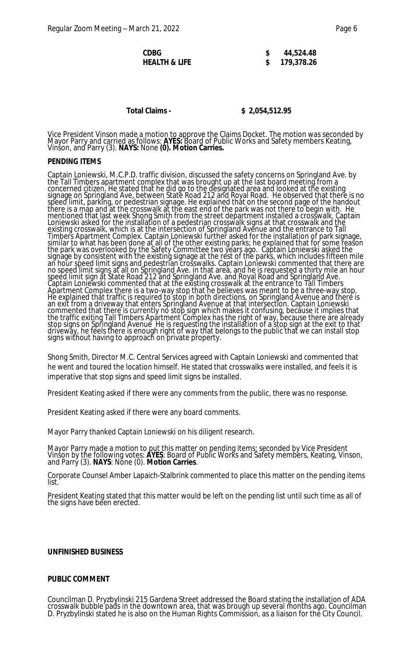| CDBG          | 44,524.48  |
|---------------|------------|
| HEALTH & LIFE | 179,378.26 |

# **Total Claims - \$ 2,054,512.95**

Vice President Vinson made a motion to approve the Claims Docket. The motion was seconded by Mayor Parry and carried as follows: **AYES:** Board of Public Works and Safety members Keating, Vinson, and Parry (3). **NAYS:** None **(0). Motion Carries.**

## **PENDING ITEMS**

Captain Loniewski, M.C.P.D. traffic division, discussed the safety concerns on Springland Ave. by the Tall Timbers apartment complex that was brought up at the last board meeting from a concerned citizen. He stated that he did go to the designated area and looked at the existing signage on Springland Ave, between State Road 212 and Royal Road. He observed that there is no speed limit, parking, or pedestrian signage. He explained that on the second page of the handout there is a map and at the crosswalk at the east end of the park was not there to begin with. He mentioned that last week Shong Smith from the street department installed a crosswalk. Captain Loniewski asked for the installation of a pedestrian crosswalk signs at that crosswalk and the existing crosswalk, which is at the intersection of Springland Avenue and the entrance to Tall Timbers Apartment Complex. Captain Loniewski further asked for the installation of park signage, similar to what has been done at all of the other existing parks; he explained that for some reason the park was overlooked by the Safety Committee two years ago. Captain Loniewski asked the signage by consistent with the existing signage at the rest of the parks, which includes fifteen mile an hour speed limit signs and pedestrian crosswalks. Captain Loniewski commented that there are no speed limit signs at all on Springland Ave. in that area, and he is requested a thirty mile an hour speed limit sign at State Road 212 and Springland Ave. and Royal Road and Springland Ave. Captain Loniewski commented that at the existing crosswalk at the entrance to Tall Timbers Apartment Complex there is a two-way stop that he believes was meant to be a three-way stop. He explained that traffic is required to stop in both directions, on Springland Avenue and there is an exit from a driveway that enters Springland Avenue at that intersection. Captain Loniewski commented that there is currently no stop sign which makes it confusing, because it implies that the traffic exiting Tall Timbers Apartment Complex has the right of way, because there are already stop signs on Springland Avenue He is requesting the installation of a stop sign at the exit to that driveway, he feels there is enough right of way that belongs to the public that we can install stop signs without having to approach on private property.

Shong Smith, Director M.C. Central Services agreed with Captain Loniewski and commented that he went and toured the location himself. He stated that crosswalks were installed, and feels it is imperative that stop signs and speed limit signs be installed.

President Keating asked if there were any comments from the public, there was no response.

President Keating asked if there were any board comments.

Mayor Parry thanked Captain Loniewski on his diligent research.

Mayor Parry made a motion to put this matter on pending items; seconded by Vice President Vinson by the following votes: **AYES**: Board of Public Works and Safety members, Keating, Vinson, and Parry (3). **NAYS**: None (0). **Motion Carries**.

Corporate Counsel Amber Lapaich-Stalbrink commented to place this matter on the pending items list.

President Keating stated that this matter would be left on the pending list until such time as all of the signs have been erected.

## **UNFINISHED BUSINESS**

## **PUBLIC COMMENT**

Councilman D. Pryzbylinski 215 Gardena Street addressed the Board stating the installation of ADA crosswalk bubble pads in the downtown area, that was brough up several months ago. Councilman D. Pryzbylinski stated he is also on the Human Rights Commission, as a liaison for the City Council.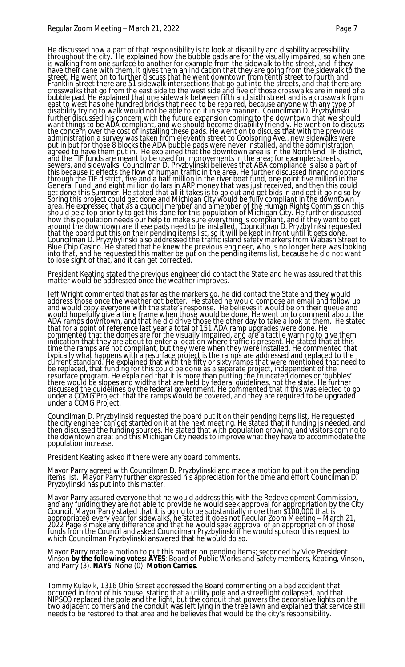He discussed how a part of that responsibility is to look at disability and disability accessibility throughout the city. He explained how the bubble pads are for the visually impaired, so when one is walking from one surface to another for example from the sidewalk to the street, and if they have their cane with them, it gives them an indication that they are going from the sidewalk to the street. He went on to further discuss that he went downtown from tenth street to fourth and Franklin Street there are 51 sidewalk intersections that go out into the streets, and that there are crosswalks that go from the east side to the west side and five of those crosswalks are in need of a bubble pad. He explained that one sidewalk between fifth and sixth street and is a crosswalk from east to west has one hundred bricks that need to be repaired, because anyone with any type of disability trying to walk would not be able to do it in safe manner. Councilman D. Pryzbylinski further discussed his concern with the future expansion coming to the downtown that we should want things to be ADA compliant, and we should become disability friendly. He went on to discuss the concern over the cost of installing these pads. He went on to discuss that with the previous administration a survey was taken from eleventh street to Coolspring Ave., new sidewalks were put in but for those 8 blocks the ADA bubble pads were never installed, and the administration agreed to have them put in. He explained that the downtown area is in the North End TIF district, and the TIF funds are meant to be used for improvements in the area; for example: streets, sewers, and sidewalks. Councilman D. Pryzbylinski believes that ABA compliance is also a part of this because it effects the flow of human traffic in the area. He further discussed financing options; through the TIF district, five and a half million in the river boat fund, one point five million in the General Fund, and eight million dollars in ARP money that was just received, and then this could get done this Summer. He stated that all it takes is to go out and get bids in and get it going so by Spring this project could get done and Michigan City would be fully compliant in the downtown area. He expressed that as a council member and a member of the Human Rights Commission this should be a top priority to get this done for this population of Michigan City. He further discussed how this population néeds our help to make sure everything is compliant, and if they want to get around the downtown are these pads need to be installed. Councilman D. Pryzbylinksi requested that the board put this on their pending items list, so it will be kept in front until it gets done. Councilman D. Pryzybylinski also addressed the traffic island safety markers from Wabash Street to Blue Chip Casino. He stated that he knew the previous engineer, who is no longer here was looking into that, and he requested this matter be put on the pending items list, because he did not want to lose sight of that, and it can get corrected.

President Keating stated the previous engineer did contact the State and he was assured that this matter would be addressed once the weather improves.

Jeff Wright commented that as far as the markers go, he did contact the State and they would address those once the weather got better. He stated he would compose an email and follow up and would copy everyone with the state's response. He believes it would be on their queue and would hopefully give a time frame when those would be done. He went on to comment about the ADA ramps downtown, and that he did drive those the other day to take a look at them. He stated that for a point of reference last year a total of 151 ADA ramp upgrades were done. He commented that the domes are for the visually impaired, and are a tactile warning to give them indication that they are about to enter a location where traffic is present. He stated that at this time the ramps are not compliant, but they were when they were installed. He commented that typically what happens with a resurface project is the ramps are addressed and replaced to the current standard. He explained that with the fifty or sixty ramps that were mentioned that need to be replaced, that funding for this could be done as a separate project, independent of the resurface program. He explained that it is more than putting the truncated domes or 'bubbles' there would be slopes and widths that are held by federal guidelines, not the state. He further discussed the guidelines by the federal government. He commented that if this was elected to go under a CCMG Project, that the ramps would be covered, and they are required to be upgraded under a CCMG Project.

Councilman D. Pryzbylinski requested the board put it on their pending items list. He requested the city engineer can get started on it at the next meeting. He stated that if funding is needed, and then discussed the funding sources. He stated that with population growing, and visitors coming to the downtown area; and this Michigan City needs to improve what they have to accommodate the population increase.

President Keating asked if there were any board comments.

Mayor Parry agreed with Councilman D. Pryzbylinski and made a motion to put it on the pending items list. Mayor Parry further expressed his appreciation for the time and effort Councilman D. Pryzbylinski has put into this matter.

Mayor Parry assured everyone that he would address this with the Redevelopment Commission, and any funding they are not able to provide he would seek approval for appropriation by the City Council. Mayor Parry stated that it is going to be substantially more than \$100,000 that is appropriated every year for sidewalks, he stated it does not Regular Zoom Meeting – March 21, 2022 Page 8 make any difference and that he would seek approval of an appropriation of those funds from the Council and asked Councilman Pryzbylinski if he would sponsor this request to which Councilman Pryzbylinski answered that he would do so.

Mayor Parry made a motion to put this matter on pending items; seconded by Vice President Vinson **by the following votes: AYES**: Board of Public Works and Safety members, Keating, Vinson, and Parry (3). **NAYS**: None (0). **Motion Carries**.

Tommy Kulavik, 1316 Ohio Street addressed the Board commenting on a bad accident that occurred in front of his house, stating that a utility pole and a streetlight collapsed, and that NIPSCO replaced the pole and the light, but the conduit that powers the decorative lights on the two adjacent corners and the conduit was left lying in the tree lawn and explained that service still needs to be restored to that area and he believes that would be the city's responsibility.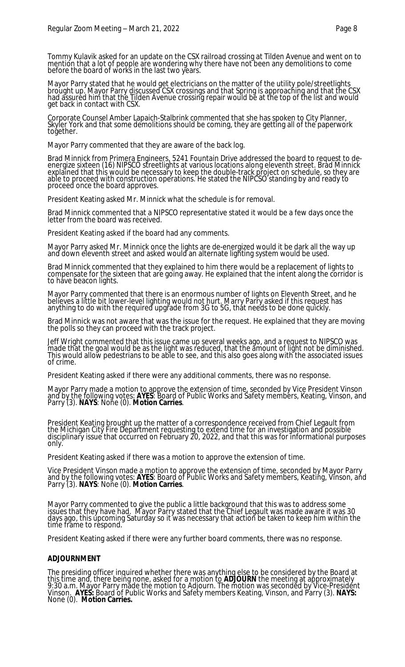Tommy Kulavik asked for an update on the CSX railroad crossing at Tilden Avenue and went on to mention that a lot of people are wondering why there have not been any demolitions to come before the board of works in the last two years.

Mayor Parry stated that he would get electricians on the matter of the utility pole/streetlights brought up. Mayor Parry discussed CSX crossings and that Spring is approaching and that the CSX had assured him that the Tilden Avenue crossing repair would be at the top of the list and would get back in contact with CSX.

Corporate Counsel Amber Lapaich-Stalbrink commented that she has spoken to City Planner, Skyler York and that some demolitions should be coming, they are getting all of the paperwork together.

Mayor Parry commented that they are aware of the back log.

Brad Minnick from Primera Engineers, 5241 Fountain Drive addressed the board to request to deenergize sixteen (16) NIPSCO streetlights at various locations along eleventh street. Brad Minnick explained that this would be necessary to keep the double-track project on schedule, so they are able to proceed with construction operations. He stated the NIPCSO standing by and ready to proceed once the board approves.

President Keating asked Mr. Minnick what the schedule is for removal.

Brad Minnick commented that a NIPSCO representative stated it would be a few days once the letter from the board was received.

President Keating asked if the board had any comments.

Mayor Parry asked Mr. Minnick once the lights are de-energized would it be dark all the way up and down eleventh street and asked would an alternate lighting system would be used.

Brad Minnick commented that they explained to him there would be a replacement of lights to compensate for the sixteen that are going away. He explained that the intent along the corridor is to have beacon lights.

Mayor Parry commented that there is an enormous number of lights on Eleventh Street, and he believes a little bit lower-level lighting would not hurt. Marry Parry asked if this request has anything to do with the required upgrade from 3G to 5G, that needs to be done quickly.

Brad Minnick was not aware that was the issue for the request. He explained that they are moving the polls so they can proceed with the track project.

Jeff Wright commented that this issue came up several weeks ago, and a request to NIPSCO was made that the goal would be as the light was reduced, that the amount of light not be diminished. This would allow pedestrians to be able to see, and this also goes along with the associated issues of crime.

President Keating asked if there were any additional comments, there was no response.

Mayor Parry made a motion to approve the extension of time, seconded by Vice President Vinson and by the following votes: **AYES**: Board of Public Works and Safety members, Keating, Vinson, and Parry (3). **NAYS**: None (0). **Motion Carries**.

President Keating brought up the matter of a correspondence received from Chief Legault from the Michigan City Fire Department requesting to extend time for an investigation and possible disciplinary issue that occurred on February 20, 2022, and that this was for informational purposes only.

President Keating asked if there was a motion to approve the extension of time.

Vice President Vinson made a motion to approve the extension of time, seconded by Mayor Parry and by the following votes: **AYES**: Board of Public Works and Safety members, Keating, Vinson, and Parry (3). **NAYS**: None (0). **Motion Carries**.

Mayor Parry commented to give the public a little background that this was to address some issues that they have had. Mayor Parry stated that the Chief Legault was made aware it was 30 days ago, this upcoming Saturday so it was necessary that action be taken to keep him within the time frame to respond.

President Keating asked if there were any further board comments, there was no response.

## **ADJOURNMENT**

The presiding officer inquired whether there was anything else to be considered by the Board at this time and, there being none, asked for a motion to **ADJOURN** the meeting at approximately 9:30 a.m. Mayor Parry made the motion to Adjourn. The motion was seconded by Vice-President Vinson. **AYES:** Board of Public Works and Safety members Keating, Vinson, and Parry (3). **NAYS:**  None (0). **Motion Carries.**